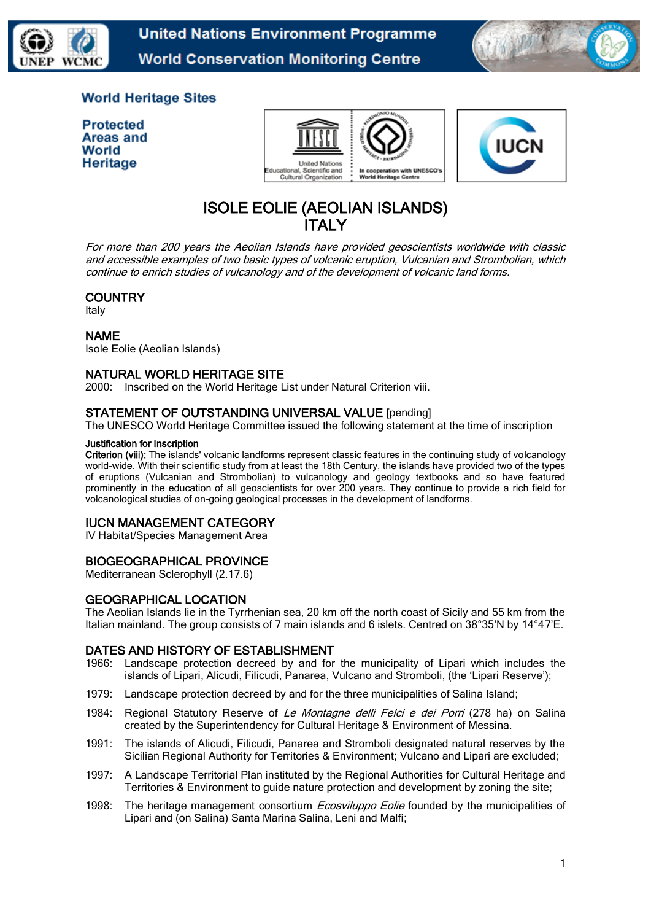

**United Nations Environment Programme World Conservation Monitoring Centre** 



## **World Heritage Sites**

**Protected Areas and** World Heritage





# ISOLE EOLIE (AEOLIAN ISLANDS) ITALY

For more than 200 years the Aeolian Islands have provided geoscientists worldwide with classic and accessible examples of two basic types of volcanic eruption, Vulcanian and Strombolian, which continue to enrich studies of vulcanology and of the development of volcanic land forms.

## **COUNTRY**

Italy

## NAME

Isole Eolie (Aeolian Islands)

## NATURAL WORLD HERITAGE SITE

2000: Inscribed on the World Heritage List under Natural Criterion viii.

## STATEMENT OF OUTSTANDING UNIVERSAL VALUE [pending]

The UNESCO World Heritage Committee issued the following statement at the time of inscription

#### Justification for Inscription

Criterion (viii): The islands' volcanic landforms represent classic features in the continuing study of volcanology world-wide. With their scientific study from at least the 18th Century, the islands have provided two of the types of eruptions (Vulcanian and Strombolian) to vulcanology and geology textbooks and so have featured prominently in the education of all geoscientists for over 200 years. They continue to provide a rich field for volcanological studies of on-going geological processes in the development of landforms.

## IUCN MANAGEMENT CATEGORY

IV Habitat/Species Management Area

## BIOGEOGRAPHICAL PROVINCE

Mediterranean Sclerophyll (2.17.6)

## GEOGRAPHICAL LOCATION

The Aeolian Islands lie in the Tyrrhenian sea, 20 km off the north coast of Sicily and 55 km from the Italian mainland. The group consists of 7 main islands and 6 islets. Centred on 38°35'N by 14°47'E.

## DATES AND HISTORY OF ESTABLISHMENT

- 1966: Landscape protection decreed by and for the municipality of Lipari which includes the islands of Lipari, Alicudi, Filicudi, Panarea, Vulcano and Stromboli, (the 'Lipari Reserve');
- 1979: Landscape protection decreed by and for the three municipalities of Salina Island;
- 1984: Regional Statutory Reserve of Le Montagne delli Felci e dei Porri (278 ha) on Salina created by the Superintendency for Cultural Heritage & Environment of Messina.
- 1991: The islands of Alicudi, Filicudi, Panarea and Stromboli designated natural reserves by the Sicilian Regional Authority for Territories & Environment; Vulcano and Lipari are excluded;
- 1997: A Landscape Territorial Plan instituted by the Regional Authorities for Cultural Heritage and Territories & Environment to guide nature protection and development by zoning the site;
- 1998: The heritage management consortium *Ecosviluppo Eolie* founded by the municipalities of Lipari and (on Salina) Santa Marina Salina, Leni and Malfi;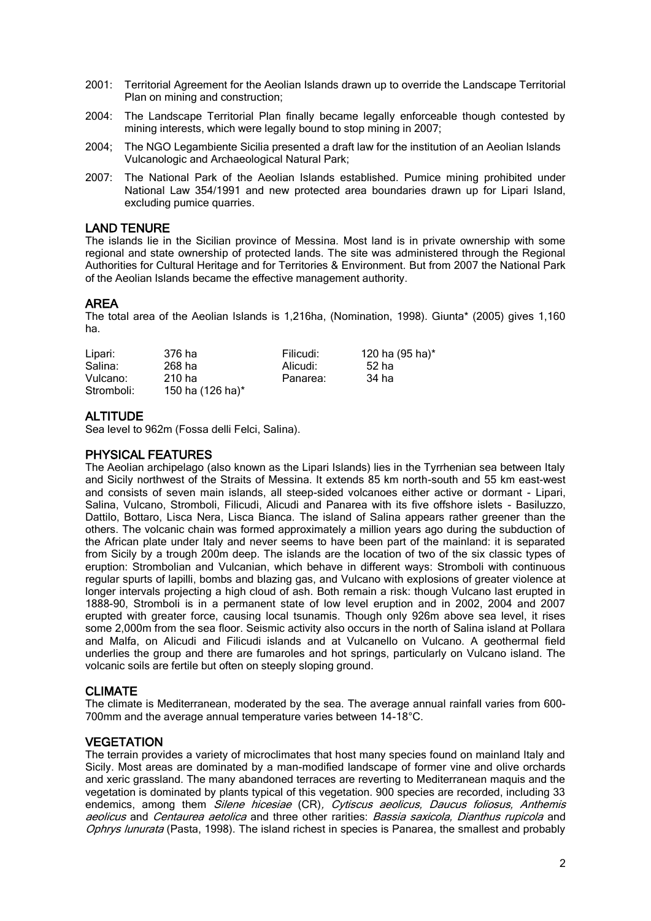- 2001: Territorial Agreement for the Aeolian Islands drawn up to override the Landscape Territorial Plan on mining and construction;
- 2004: The Landscape Territorial Plan finally became legally enforceable though contested by mining interests, which were legally bound to stop mining in 2007;
- 2004; The NGO Legambiente Sicilia presented a draft law for the institution of an Aeolian Islands Vulcanologic and Archaeological Natural Park;
- 2007: The National Park of the Aeolian Islands established. Pumice mining prohibited under National Law 354/1991 and new protected area boundaries drawn up for Lipari Island, excluding pumice quarries.

#### LAND TENURE

The islands lie in the Sicilian province of Messina. Most land is in private ownership with some regional and state ownership of protected lands. The site was administered through the Regional Authorities for Cultural Heritage and for Territories & Environment. But from 2007 the National Park of the Aeolian Islands became the effective management authority.

## AREA

The total area of the Aeolian Islands is 1,216ha, (Nomination, 1998). Giunta\* (2005) gives 1,160 ha.

| Lipari:    | 376 ha           | Filicudi: | 120 ha (95 ha)* |
|------------|------------------|-----------|-----------------|
| Salina:    | 268 ha           | Alicudi:  | 52 ha           |
| Vulcano:   | $210$ ha         | Panarea:  | 34 ha           |
| Stromboli: | 150 ha (126 ha)* |           |                 |

## **ALTITUDE**

Sea level to 962m (Fossa delli Felci, Salina).

## PHYSICAL FEATURES

The Aeolian archipelago (also known as the Lipari Islands) lies in the Tyrrhenian sea between Italy and Sicily northwest of the Straits of Messina. It extends 85 km north-south and 55 km east-west and consists of seven main islands, all steep-sided volcanoes either active or dormant - Lipari, Salina, Vulcano, Stromboli, Filicudi, Alicudi and Panarea with its five offshore islets - Basiluzzo, Dattilo, Bottaro, Lisca Nera, Lisca Bianca. The island of Salina appears rather greener than the others. The volcanic chain was formed approximately a million years ago during the subduction of the African plate under Italy and never seems to have been part of the mainland: it is separated from Sicily by a trough 200m deep. The islands are the location of two of the six classic types of eruption: Strombolian and Vulcanian, which behave in different ways: Stromboli with continuous regular spurts of lapilli, bombs and blazing gas, and Vulcano with explosions of greater violence at longer intervals projecting a high cloud of ash. Both remain a risk: though Vulcano last erupted in 1888-90, Stromboli is in a permanent state of low level eruption and in 2002, 2004 and 2007 erupted with greater force, causing local tsunamis. Though only 926m above sea level, it rises some 2,000m from the sea floor. Seismic activity also occurs in the north of Salina island at Pollara and Malfa, on Alicudi and Filicudi islands and at Vulcanello on Vulcano. A geothermal field underlies the group and there are fumaroles and hot springs, particularly on Vulcano island. The volcanic soils are fertile but often on steeply sloping ground.

## CLIMATE

The climate is Mediterranean, moderated by the sea. The average annual rainfall varies from 600- 700mm and the average annual temperature varies between 14-18°C.

## **VEGETATION**

The terrain provides a variety of microclimates that host many species found on mainland Italy and Sicily. Most areas are dominated by a man-modified landscape of former vine and olive orchards and xeric grassland. The many abandoned terraces are reverting to Mediterranean maquis and the vegetation is dominated by plants typical of this vegetation. 900 species are recorded, including 33 endemics, among them Silene hicesiae (CR), Cytiscus aeolicus, Daucus foliosus, Anthemis aeolicus and Centaurea aetolica and three other rarities: Bassia saxicola, Dianthus rupicola and Ophrys lunurata (Pasta, 1998). The island richest in species is Panarea, the smallest and probably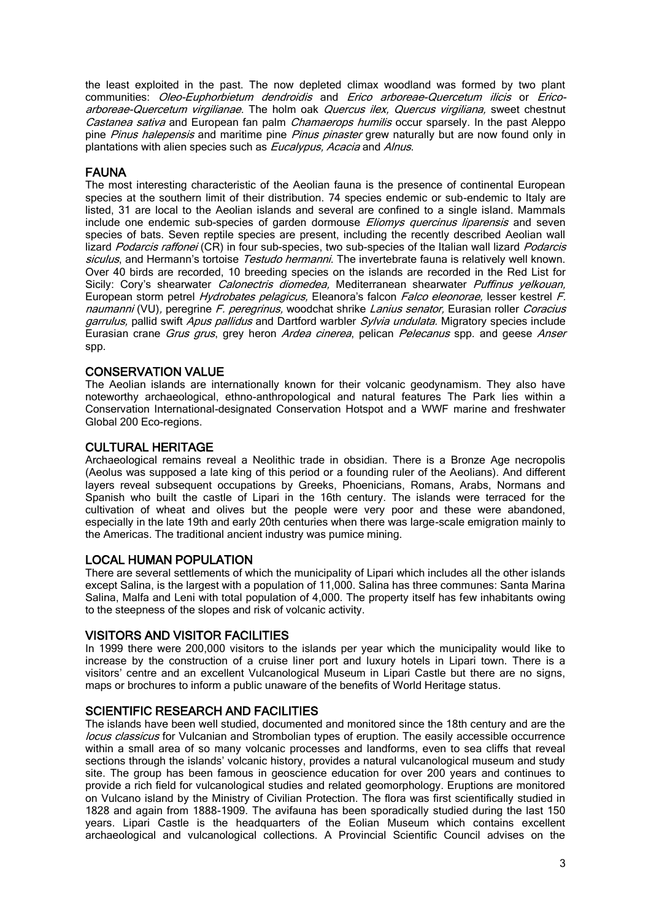the least exploited in the past. The now depleted climax woodland was formed by two plant communities: Oleo-Euphorbietum dendroidis and Erico arboreae-Quercetum ilicis or Ericoarboreae-Quercetum virgilianae. The holm oak Quercus ilex, Quercus virgiliana, sweet chestnut Castanea sativa and European fan palm Chamaerops humilis occur sparsely. In the past Aleppo pine *Pinus halepensis* and maritime pine *Pinus pinaster* grew naturally but are now found only in plantations with alien species such as *Eucalypus, Acacia* and *Alnus*.

## FAUNA

The most interesting characteristic of the Aeolian fauna is the presence of continental European species at the southern limit of their distribution. 74 species endemic or sub-endemic to Italy are listed, 31 are local to the Aeolian islands and several are confined to a single island. Mammals include one endemic sub-species of garden dormouse *Eliomys quercinus liparensis* and seven species of bats. Seven reptile species are present, including the recently described Aeolian wall lizard Podarcis raffonei (CR) in four sub-species, two sub-species of the Italian wall lizard Podarcis siculus, and Hermann's tortoise Testudo hermanni. The invertebrate fauna is relatively well known. Over 40 birds are recorded, 10 breeding species on the islands are recorded in the Red List for Sicily: Cory's shearwater Calonectris diomedea, Mediterranean shearwater Puffinus yelkouan, European storm petrel Hydrobates pelagicus, Eleanora's falcon Falco eleonorae, lesser kestrel F. naumanni (VU), peregrine F. peregrinus, woodchat shrike Lanius senator, Eurasian roller Coracius garrulus, pallid swift Apus pallidus and Dartford warbler Sylvia undulata. Migratory species include Eurasian crane Grus grus, grey heron Ardea cinerea, pelican Pelecanus spp. and geese Anser spp.

## CONSERVATION VALUE

The Aeolian islands are internationally known for their volcanic geodynamism. They also have noteworthy archaeological, ethno-anthropological and natural features The Park lies within a Conservation International-designated Conservation Hotspot and a WWF marine and freshwater Global 200 Eco-regions.

#### CULTURAL HERITAGE

Archaeological remains reveal a Neolithic trade in obsidian. There is a Bronze Age necropolis (Aeolus was supposed a late king of this period or a founding ruler of the Aeolians). And different layers reveal subsequent occupations by Greeks, Phoenicians, Romans, Arabs, Normans and Spanish who built the castle of Lipari in the 16th century. The islands were terraced for the cultivation of wheat and olives but the people were very poor and these were abandoned, especially in the late 19th and early 20th centuries when there was large-scale emigration mainly to the Americas. The traditional ancient industry was pumice mining.

## LOCAL HUMAN POPULATION

There are several settlements of which the municipality of Lipari which includes all the other islands except Salina, is the largest with a population of 11,000. Salina has three communes: Santa Marina Salina, Malfa and Leni with total population of 4,000. The property itself has few inhabitants owing to the steepness of the slopes and risk of volcanic activity.

#### VISITORS AND VISITOR FACILITIES

In 1999 there were 200,000 visitors to the islands per year which the municipality would like to increase by the construction of a cruise liner port and luxury hotels in Lipari town. There is a visitors' centre and an excellent Vulcanological Museum in Lipari Castle but there are no signs, maps or brochures to inform a public unaware of the benefits of World Heritage status.

## SCIENTIFIC RESEARCH AND FACILITIES

The islands have been well studied, documented and monitored since the 18th century and are the locus classicus for Vulcanian and Strombolian types of eruption. The easily accessible occurrence within a small area of so many volcanic processes and landforms, even to sea cliffs that reveal sections through the islands' volcanic history, provides a natural vulcanological museum and study site. The group has been famous in geoscience education for over 200 years and continues to provide a rich field for vulcanological studies and related geomorphology. Eruptions are monitored on Vulcano island by the Ministry of Civilian Protection. The flora was first scientifically studied in 1828 and again from 1888-1909. The avifauna has been sporadically studied during the last 150 years. Lipari Castle is the headquarters of the Eolian Museum which contains excellent archaeological and vulcanological collections. A Provincial Scientific Council advises on the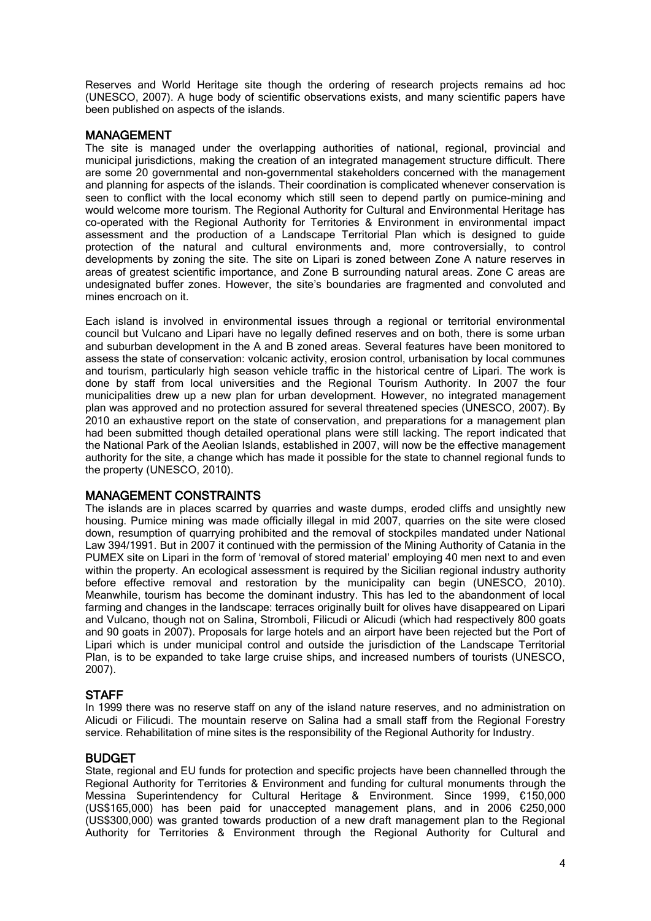Reserves and World Heritage site though the ordering of research projects remains ad hoc (UNESCO, 2007). A huge body of scientific observations exists, and many scientific papers have been published on aspects of the islands.

#### MANAGEMENT

The site is managed under the overlapping authorities of national, regional, provincial and municipal jurisdictions, making the creation of an integrated management structure difficult. There are some 20 governmental and non-governmental stakeholders concerned with the management and planning for aspects of the islands. Their coordination is complicated whenever conservation is seen to conflict with the local economy which still seen to depend partly on pumice-mining and would welcome more tourism. The Regional Authority for Cultural and Environmental Heritage has co-operated with the Regional Authority for Territories & Environment in environmental impact assessment and the production of a Landscape Territorial Plan which is designed to guide protection of the natural and cultural environments and, more controversially, to control developments by zoning the site. The site on Lipari is zoned between Zone A nature reserves in areas of greatest scientific importance, and Zone B surrounding natural areas. Zone C areas are undesignated buffer zones. However, the site's boundaries are fragmented and convoluted and mines encroach on it.

Each island is involved in environmental issues through a regional or territorial environmental council but Vulcano and Lipari have no legally defined reserves and on both, there is some urban and suburban development in the A and B zoned areas. Several features have been monitored to assess the state of conservation: volcanic activity, erosion control, urbanisation by local communes and tourism, particularly high season vehicle traffic in the historical centre of Lipari. The work is done by staff from local universities and the Regional Tourism Authority. In 2007 the four municipalities drew up a new plan for urban development. However, no integrated management plan was approved and no protection assured for several threatened species (UNESCO, 2007). By 2010 an exhaustive report on the state of conservation, and preparations for a management plan had been submitted though detailed operational plans were still lacking. The report indicated that the National Park of the Aeolian Islands, established in 2007, will now be the effective management authority for the site, a change which has made it possible for the state to channel regional funds to the property (UNESCO, 2010).

#### MANAGEMENT CONSTRAINTS

The islands are in places scarred by quarries and waste dumps, eroded cliffs and unsightly new housing. Pumice mining was made officially illegal in mid 2007, quarries on the site were closed down, resumption of quarrying prohibited and the removal of stockpiles mandated under National Law 394/1991. But in 2007 it continued with the permission of the Mining Authority of Catania in the PUMEX site on Lipari in the form of 'removal of stored material' employing 40 men next to and even within the property. An ecological assessment is required by the Sicilian regional industry authority before effective removal and restoration by the municipality can begin (UNESCO, 2010). Meanwhile, tourism has become the dominant industry. This has led to the abandonment of local farming and changes in the landscape: terraces originally built for olives have disappeared on Lipari and Vulcano, though not on Salina, Stromboli, Filicudi or Alicudi (which had respectively 800 goats and 90 goats in 2007). Proposals for large hotels and an airport have been rejected but the Port of Lipari which is under municipal control and outside the jurisdiction of the Landscape Territorial Plan, is to be expanded to take large cruise ships, and increased numbers of tourists (UNESCO, 2007).

#### **STAFF**

In 1999 there was no reserve staff on any of the island nature reserves, and no administration on Alicudi or Filicudi. The mountain reserve on Salina had a small staff from the Regional Forestry service. Rehabilitation of mine sites is the responsibility of the Regional Authority for Industry.

#### BUDGET

State, regional and EU funds for protection and specific projects have been channelled through the Regional Authority for Territories & Environment and funding for cultural monuments through the Messina Superintendency for Cultural Heritage & Environment. Since 1999, €150,000 (US\$165,000) has been paid for unaccepted management plans, and in 2006 €250,000 (US\$300,000) was granted towards production of a new draft management plan to the Regional Authority for Territories & Environment through the Regional Authority for Cultural and